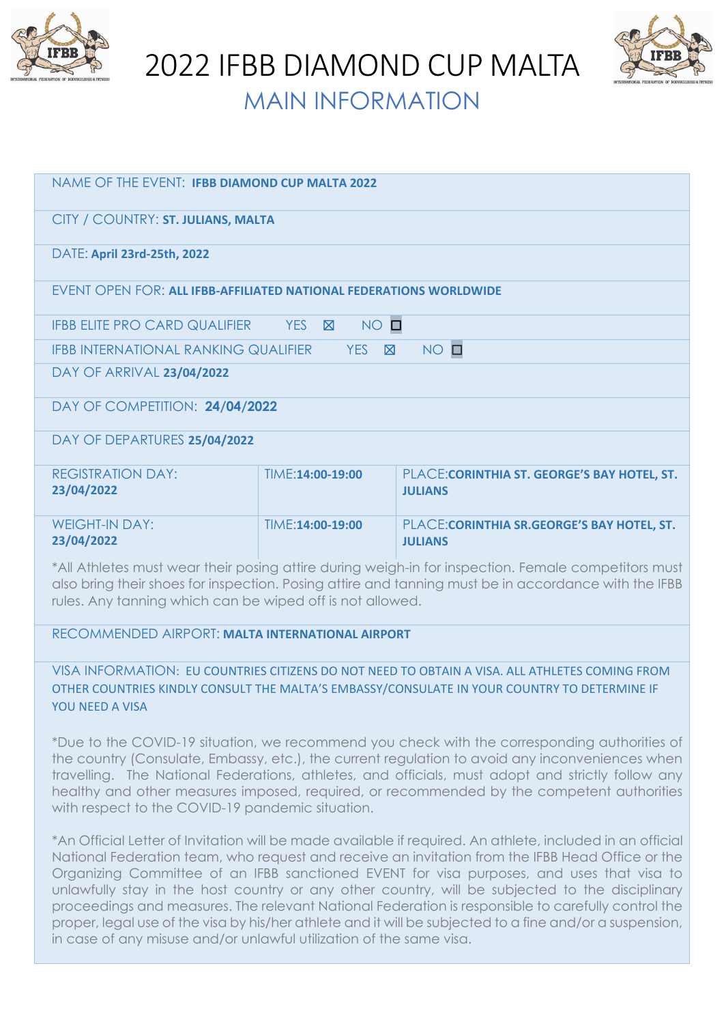

2022 IFBB DIAMOND CUP MALTA



MAIN INFORMATION

| NAME OF THE EVENT: IFBB DIAMOND CUP MALTA 2022                                                                                                                                                                                                                           |                  |                                                                |  |  |
|--------------------------------------------------------------------------------------------------------------------------------------------------------------------------------------------------------------------------------------------------------------------------|------------------|----------------------------------------------------------------|--|--|
| CITY / COUNTRY: ST. JULIANS, MALTA                                                                                                                                                                                                                                       |                  |                                                                |  |  |
| DATE: April 23rd-25th, 2022                                                                                                                                                                                                                                              |                  |                                                                |  |  |
| <b>EVENT OPEN FOR: ALL IFBB-AFFILIATED NATIONAL FEDERATIONS WORLDWIDE</b>                                                                                                                                                                                                |                  |                                                                |  |  |
| $NO$ $\square$<br><b>IFBB ELITE PRO CARD QUALIFIER</b><br>YES <b>X</b>                                                                                                                                                                                                   |                  |                                                                |  |  |
| $NO$ $\square$<br><b>IFBB INTERNATIONAL RANKING QUALIFIER</b><br><b>YES</b><br>$\boxtimes$                                                                                                                                                                               |                  |                                                                |  |  |
| DAY OF ARRIVAL 23/04/2022                                                                                                                                                                                                                                                |                  |                                                                |  |  |
| DAY OF COMPETITION: 24/04/2022                                                                                                                                                                                                                                           |                  |                                                                |  |  |
| DAY OF DEPARTURES 25/04/2022                                                                                                                                                                                                                                             |                  |                                                                |  |  |
| <b>REGISTRATION DAY:</b><br>23/04/2022                                                                                                                                                                                                                                   | TIME:14:00-19:00 | PLACE: CORINTHIA ST. GEORGE'S BAY HOTEL, ST.<br><b>JULIANS</b> |  |  |
| <b>WEIGHT-IN DAY:</b><br>23/04/2022                                                                                                                                                                                                                                      | TIME:14:00-19:00 | PLACE: CORINTHIA SR. GEORGE'S BAY HOTEL, ST.<br><b>JULIANS</b> |  |  |
| *All Athletes must wear their posing attire during weigh-in for inspection. Female competitors must<br>also bring their shoes for inspection. Posing attire and tanning must be in accordance with the IFBB<br>rules. Any tanning which can be wiped off is not allowed. |                  |                                                                |  |  |

RECOMMENDED AIRPORT: **MALTA INTERNATIONAL AIRPORT**

VISA INFORMATION: EU COUNTRIES CITIZENS DO NOT NEED TO OBTAIN A VISA. ALL ATHLETES COMING FROM OTHER COUNTRIES KINDLY CONSULT THE MALTA'S EMBASSY/CONSULATE IN YOUR COUNTRY TO DETERMINE IF YOU NEED A VISA

\*Due to the COVID-19 situation, we recommend you check with the corresponding authorities of the country (Consulate, Embassy, etc.), the current regulation to avoid any inconveniences when travelling. The National Federations, athletes, and officials, must adopt and strictly follow any healthy and other measures imposed, required, or recommended by the competent authorities with respect to the COVID-19 pandemic situation.

\*An Official Letter of Invitation will be made available if required. An athlete, included in an official National Federation team, who request and receive an invitation from the IFBB Head Office or the Organizing Committee of an IFBB sanctioned EVENT for visa purposes, and uses that visa to unlawfully stay in the host country or any other country, will be subjected to the disciplinary proceedings and measures. The relevant National Federation is responsible to carefully control the proper, legal use of the visa by his/her athlete and it will be subjected to a fine and/or a suspension, in case of any misuse and/or unlawful utilization of the same visa.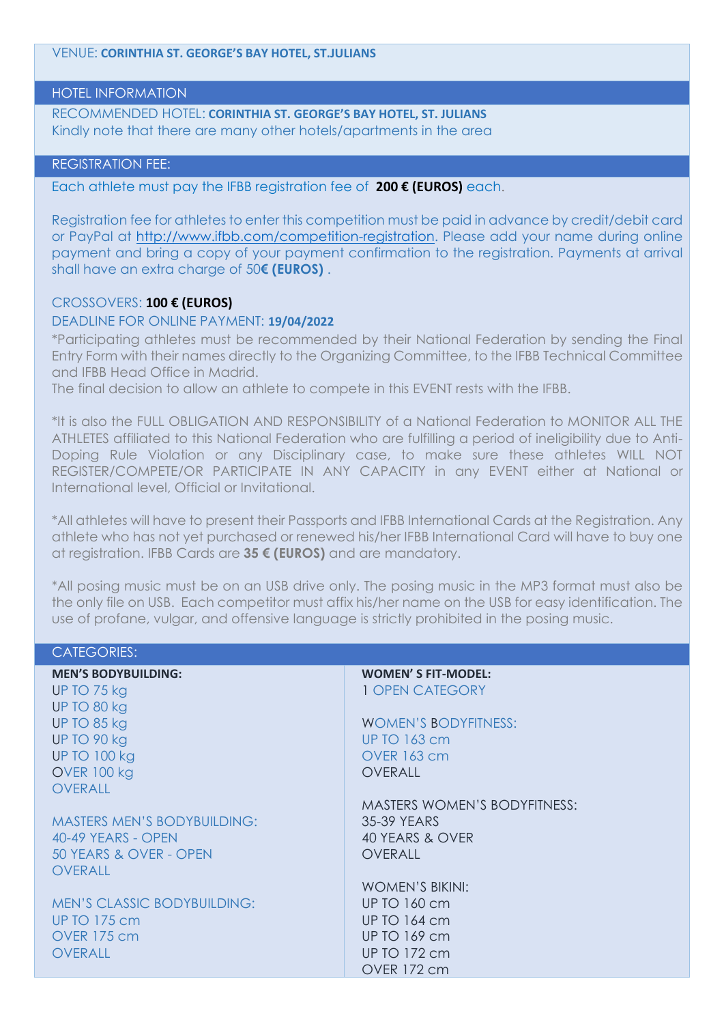VENUE: **CORINTHIA ST. GEORGE'S BAY HOTEL, ST.JULIANS**

### HOTEL INFORMATION

RECOMMENDED HOTEL: **CORINTHIA ST. GEORGE'S BAY HOTEL, ST. JULIANS** Kindly note that there are many other hotels/apartments in the area

## REGISTRATION FEE:

Each athlete must pay the IFBB registration fee of **200 € (EUROS)** each.

Registration fee for athletes to enter this competition must be paid in advance by credit/debit card or PayPal at [http://www.ifbb.com/competition-registration.](http://www.ifbb.com/competition-registration) Please add your name during online payment and bring a copy of your payment confirmation to the registration. Payments at arrival shall have an extra charge of 50**€ (EUROS)** .

### CROSSOVERS: **100 € (EUROS)**

## DEADLINE FOR ONLINE PAYMENT: **19/04/2022**

\*Participating athletes must be recommended by their National Federation by sending the Final Entry Form with their names directly to the Organizing Committee, to the IFBB Technical Committee and IFBB Head Office in Madrid.

The final decision to allow an athlete to compete in this EVENT rests with the IFBB.

\*It is also the FULL OBLIGATION AND RESPONSIBILITY of a National Federation to MONITOR ALL THE ATHLETES affiliated to this National Federation who are fulfilling a period of ineligibility due to Anti-Doping Rule Violation or any Disciplinary case, to make sure these athletes WILL NOT REGISTER/COMPETE/OR PARTICIPATE IN ANY CAPACITY in any EVENT either at National or International level, Official or Invitational.

\*All athletes will have to present their Passports and IFBB International Cards at the Registration. Any athlete who has not yet purchased or renewed his/her IFBB International Card will have to buy one at registration. IFBB Cards are **35 € (EUROS)** and are mandatory.

\*All posing music must be on an USB drive only. The posing music in the MP3 format must also be the only file on USB. Each competitor must affix his/her name on the USB for easy identification. The use of profane, vulgar, and offensive language is strictly prohibited in the posing music.

| <b>CATEGORIES:</b>                 |                                     |
|------------------------------------|-------------------------------------|
| <b>MEN'S BODYBUILDING:</b>         | <b>WOMEN'S FIT-MODEL:</b>           |
| UP TO 75 kg                        | 1 OPEN CATEGORY                     |
| UP TO 80 kg                        |                                     |
| UP TO 85 kg                        | <b>WOMEN'S BODYFITNESS:</b>         |
| UP TO 90 kg                        | <b>UP TO 163 cm</b>                 |
| <b>UP TO 100 kg</b>                | <b>OVER 163 cm</b>                  |
| <b>OVER 100 kg</b>                 | <b>OVERALL</b>                      |
| <b>OVERALL</b>                     |                                     |
|                                    | <b>MASTERS WOMEN'S BODYFITNESS:</b> |
| <b>MASTERS MEN'S BODYBUILDING:</b> | 35-39 YEARS                         |
| 40-49 YEARS - OPEN                 | 40 YEARS & OVER                     |
| 50 YEARS & OVER - OPEN             | <b>OVERALL</b>                      |
| <b>OVERALL</b>                     |                                     |
|                                    | <b>WOMEN'S BIKINI:</b>              |
| <b>MEN'S CLASSIC BODYBUILDING:</b> | UP TO 160 cm                        |
| <b>UP TO 175 cm</b>                | <b>UP TO 164 cm</b>                 |
| <b>OVER 175 cm</b>                 | <b>UP TO 169 cm</b>                 |
| <b>OVERALL</b>                     | UP TO 172 cm                        |
|                                    | OVER 172 cm                         |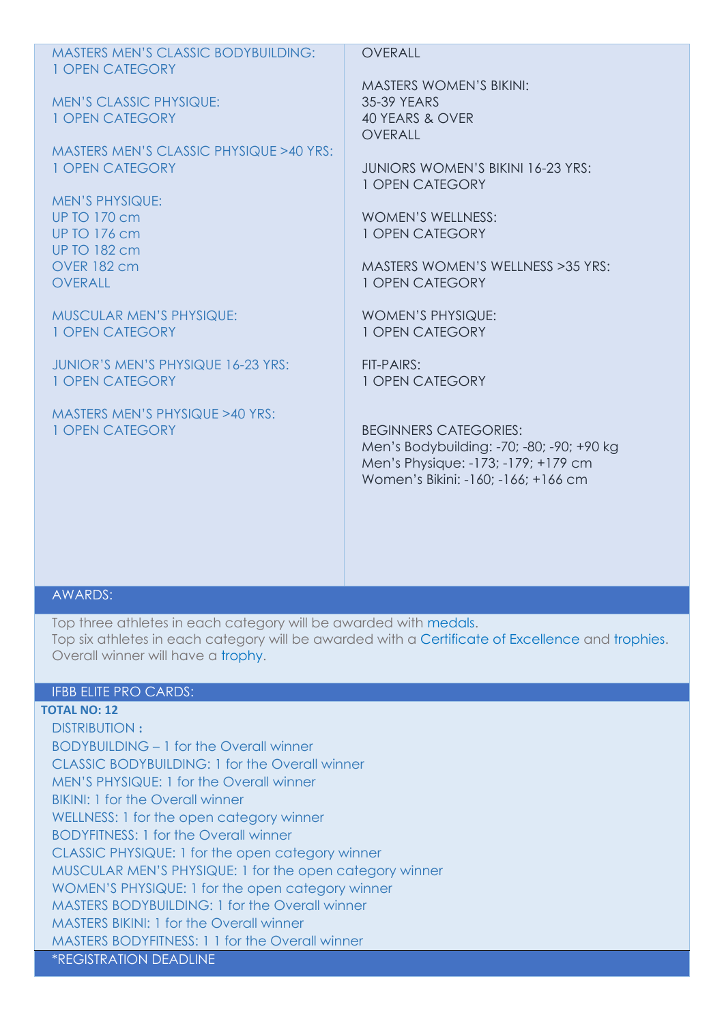| <b>MASTERS MEN'S CLASSIC BODYBUILDING:</b><br>1 OPEN CATEGORY                               | OVERALL                                                                                                                                                 |
|---------------------------------------------------------------------------------------------|---------------------------------------------------------------------------------------------------------------------------------------------------------|
| <b>MEN'S CLASSIC PHYSIQUE:</b><br>1 OPEN CATEGORY                                           | <b>MASTERS WOMEN'S BIKINI:</b><br>35-39 YEARS<br>40 YEARS & OVER                                                                                        |
| MASTERS MEN'S CLASSIC PHYSIQUE >40 YRS:<br>1 OPEN CATEGORY                                  | <b>OVERALL</b><br><b>JUNIORS WOMEN'S BIKINI 16-23 YRS:</b><br>1 OPEN CATEGORY                                                                           |
| <b>MEN'S PHYSIQUE:</b><br><b>UP TO 170 cm</b><br><b>UP TO 176 cm</b><br><b>UP TO 182 cm</b> | <b>WOMEN'S WELLNESS:</b><br>1 OPEN CATEGORY                                                                                                             |
| <b>OVER 182 cm</b><br><b>OVERALL</b>                                                        | MASTERS WOMEN'S WELLNESS > 35 YRS:<br>1 OPEN CATEGORY                                                                                                   |
| <b>MUSCULAR MEN'S PHYSIQUE:</b><br><b>1 OPEN CATEGORY</b>                                   | <b>WOMEN'S PHYSIQUE:</b><br>1 OPEN CATEGORY                                                                                                             |
| <b>JUNIOR'S MEN'S PHYSIQUE 16-23 YRS:</b><br>1 OPEN CATEGORY                                | FIT-PAIRS:<br>1 OPEN CATEGORY                                                                                                                           |
| MASTERS MEN'S PHYSIQUE >40 YRS:<br><b>1 OPEN CATEGORY</b>                                   | <b>BEGINNERS CATEGORIES:</b><br>Men's Bodybuilding: -70; -80; -90; +90 kg<br>Men's Physique: -173; -179; +179 cm<br>Women's Bikini: -160; -166; +166 cm |

## AWARDS:

Top three athletes in each category will be awarded with medals. Top six athletes in each category will be awarded with a Certificate of Excellence and trophies. Overall winner will have a trophy.

# IFBB ELITE PRO CARDS:

## **TOTAL NO: 12**

DISTRIBUTION **:** BODYBUILDING – 1 for the Overall winner CLASSIC BODYBUILDING: 1 for the Overall winner MEN'S PHYSIQUE: 1 for the Overall winner BIKINI: 1 for the Overall winner WELLNESS: 1 for the open category winner BODYFITNESS: 1 for the Overall winner CLASSIC PHYSIQUE: 1 for the open category winner MUSCULAR MEN'S PHYSIQUE: 1 for the open category winner WOMEN'S PHYSIQUE: 1 for the open category winner MASTERS BODYBUILDING: 1 for the Overall winner MASTERS BIKINI: 1 for the Overall winner MASTERS BODYFITNESS: 1 1 for the Overall winner \*REGISTRATION DEADLINE